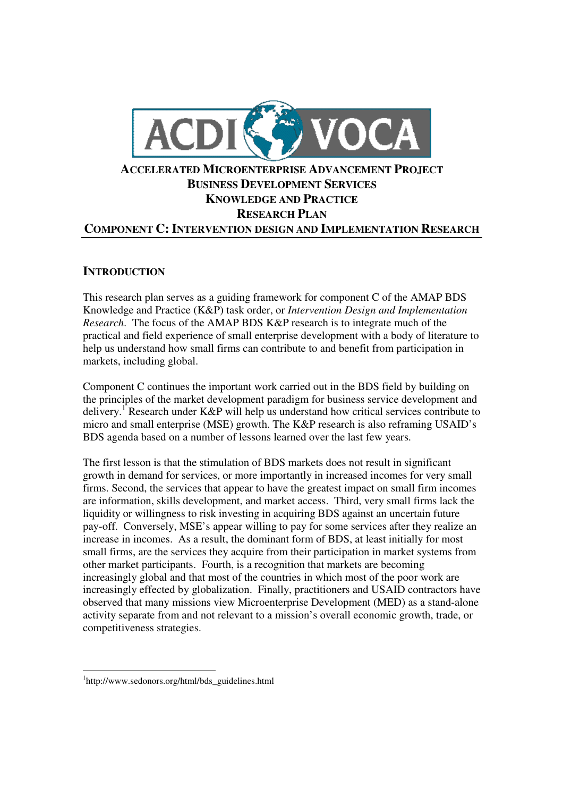

## **INTRODUCTION**

This research plan serves as a guiding framework for component C of the AMAP BDS Knowledge and Practice (K&P) task order, or *Intervention Design and Implementation Research*. The focus of the AMAP BDS K&P research is to integrate much of the practical and field experience of small enterprise development with a body of literature to help us understand how small firms can contribute to and benefit from participation in markets, including global.

Component C continues the important work carried out in the BDS field by building on the principles of the market development paradigm for business service development and delivery.<sup>1</sup> Research under K&P will help us understand how critical services contribute to micro and small enterprise (MSE) growth. The K&P research is also reframing USAID's BDS agenda based on a number of lessons learned over the last few years.

The first lesson is that the stimulation of BDS markets does not result in significant growth in demand for services, or more importantly in increased incomes for very small firms. Second, the services that appear to have the greatest impact on small firm incomes are information, skills development, and market access. Third, very small firms lack the liquidity or willingness to risk investing in acquiring BDS against an uncertain future pay-off. Conversely, MSE's appear willing to pay for some services after they realize an increase in incomes. As a result, the dominant form of BDS, at least initially for most small firms, are the services they acquire from their participation in market systems from other market participants. Fourth, is a recognition that markets are becoming increasingly global and that most of the countries in which most of the poor work are increasingly effected by globalization. Finally, practitioners and USAID contractors have observed that many missions view Microenterprise Development (MED) as a stand-alone activity separate from and not relevant to a mission's overall economic growth, trade, or competitiveness strategies.

<sup>1</sup> http://www.sedonors.org/html/bds\_guidelines.html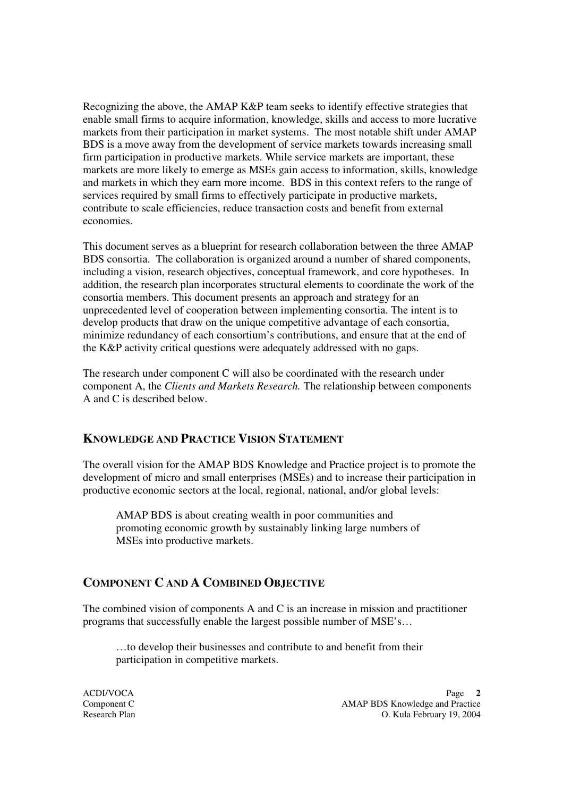Recognizing the above, the AMAP K&P team seeks to identify effective strategies that enable small firms to acquire information, knowledge, skills and access to more lucrative markets from their participation in market systems. The most notable shift under AMAP BDS is a move away from the development of service markets towards increasing small firm participation in productive markets. While service markets are important, these markets are more likely to emerge as MSEs gain access to information, skills, knowledge and markets in which they earn more income. BDS in this context refers to the range of services required by small firms to effectively participate in productive markets, contribute to scale efficiencies, reduce transaction costs and benefit from external economies.

This document serves as a blueprint for research collaboration between the three AMAP BDS consortia. The collaboration is organized around a number of shared components, including a vision, research objectives, conceptual framework, and core hypotheses. In addition, the research plan incorporates structural elements to coordinate the work of the consortia members. This document presents an approach and strategy for an unprecedented level of cooperation between implementing consortia. The intent is to develop products that draw on the unique competitive advantage of each consortia, minimize redundancy of each consortium's contributions, and ensure that at the end of the K&P activity critical questions were adequately addressed with no gaps.

The research under component C will also be coordinated with the research under component A, the *Clients and Markets Research.* The relationship between components A and C is described below.

## **KNOWLEDGE AND PRACTICE VISION STATEMENT**

The overall vision for the AMAP BDS Knowledge and Practice project is to promote the development of micro and small enterprises (MSEs) and to increase their participation in productive economic sectors at the local, regional, national, and/or global levels:

AMAP BDS is about creating wealth in poor communities and promoting economic growth by sustainably linking large numbers of MSEs into productive markets.

## **COMPONENT C AND A COMBINED OBJECTIVE**

The combined vision of components A and C is an increase in mission and practitioner programs that successfully enable the largest possible number of MSE's…

…to develop their businesses and contribute to and benefit from their participation in competitive markets.

ACDI/VOCA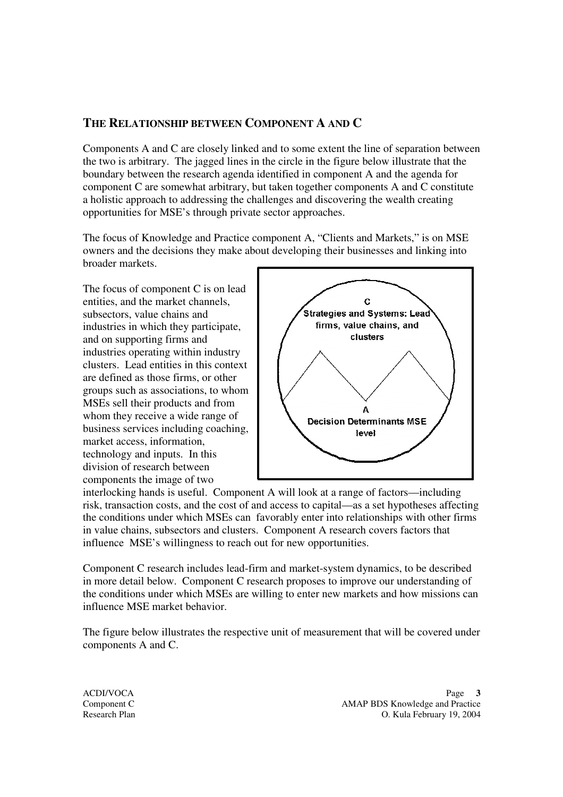### **THE RELATIONSHIP BETWEEN COMPONENT A AND C**

Components A and C are closely linked and to some extent the line of separation between the two is arbitrary. The jagged lines in the circle in the figure below illustrate that the boundary between the research agenda identified in component A and the agenda for component C are somewhat arbitrary, but taken together components A and C constitute a holistic approach to addressing the challenges and discovering the wealth creating opportunities for MSE's through private sector approaches.

The focus of Knowledge and Practice component A, "Clients and Markets," is on MSE owners and the decisions they make about developing their businesses and linking into broader markets.

The focus of component C is on lead entities, and the market channels, subsectors, value chains and industries in which they participate, and on supporting firms and industries operating within industry clusters. Lead entities in this context are defined as those firms, or other groups such as associations, to whom MSEs sell their products and from whom they receive a wide range of business services including coaching, market access, information, technology and inputs. In this division of research between components the image of two



interlocking hands is useful. Component A will look at a range of factors—including risk, transaction costs, and the cost of and access to capital—as a set hypotheses affecting the conditions under which MSEs can favorably enter into relationships with other firms in value chains, subsectors and clusters. Component A research covers factors that influence MSE's willingness to reach out for new opportunities.

Component C research includes lead-firm and market-system dynamics, to be described in more detail below. Component C research proposes to improve our understanding of the conditions under which MSEs are willing to enter new markets and how missions can influence MSE market behavior.

The figure below illustrates the respective unit of measurement that will be covered under components A and C.

ACDI/VOCA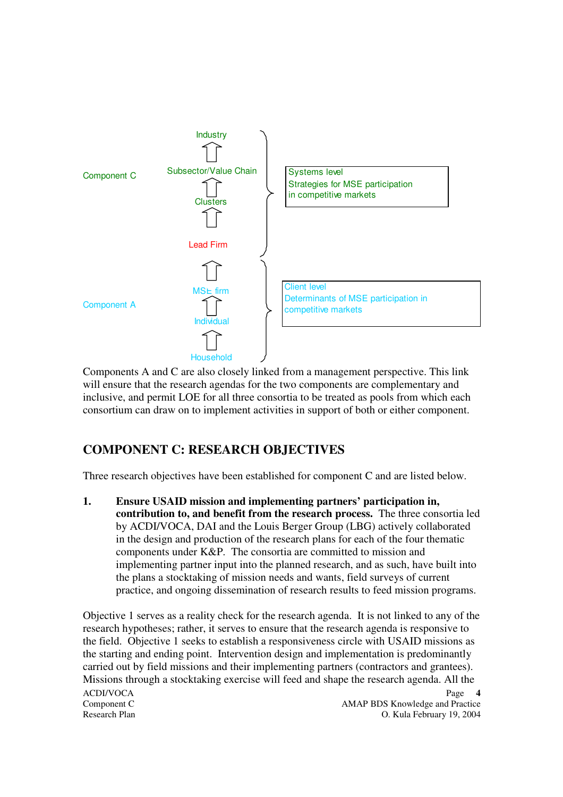

Components A and C are also closely linked from a management perspective. This link will ensure that the research agendas for the two components are complementary and inclusive, and permit LOE for all three consortia to be treated as pools from which each consortium can draw on to implement activities in support of both or either component.

# **COMPONENT C: RESEARCH OBJECTIVES**

Three research objectives have been established for component C and are listed below.

**1. Ensure USAID mission and implementing partners' participation in, contribution to, and benefit from the research process.** The three consortia led by ACDI/VOCA, DAI and the Louis Berger Group (LBG) actively collaborated in the design and production of the research plans for each of the four thematic components under K&P. The consortia are committed to mission and implementing partner input into the planned research, and as such, have built into the plans a stocktaking of mission needs and wants, field surveys of current practice, and ongoing dissemination of research results to feed mission programs.

ACDI/VOCA Component C **Component C** AMAP BDS Knowledge and Practice Research Plan O. Kula February 19, 2004 **4** Objective 1 serves as a reality check for the research agenda. It is not linked to any of the research hypotheses; rather, it serves to ensure that the research agenda is responsive to the field. Objective 1 seeks to establish a responsiveness circle with USAID missions as the starting and ending point. Intervention design and implementation is predominantly carried out by field missions and their implementing partners (contractors and grantees). Missions through a stocktaking exercise will feed and shape the research agenda. All the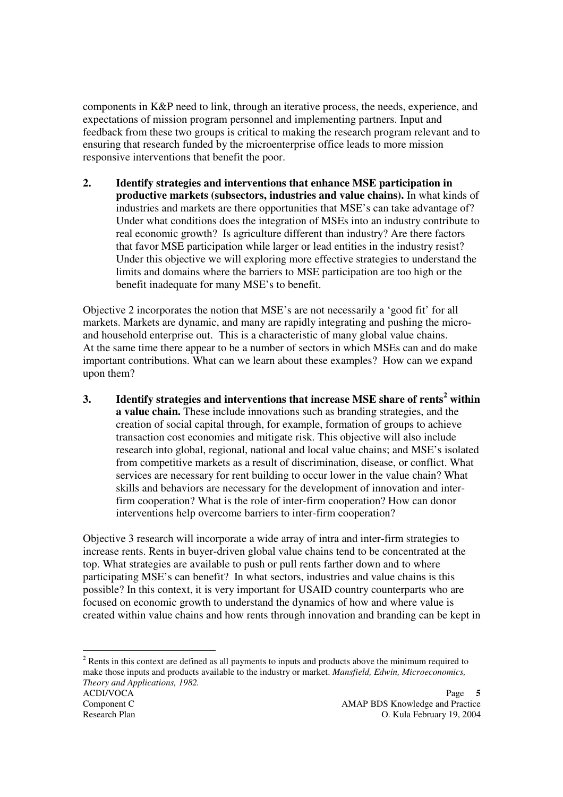components in K&P need to link, through an iterative process, the needs, experience, and expectations of mission program personnel and implementing partners. Input and feedback from these two groups is critical to making the research program relevant and to ensuring that research funded by the microenterprise office leads to more mission responsive interventions that benefit the poor.

**2. Identify strategies and interventions that enhance MSE participation in productive markets (subsectors, industries and value chains).** In what kinds of industries and markets are there opportunities that MSE's can take advantage of? Under what conditions does the integration of MSEs into an industry contribute to real economic growth? Is agriculture different than industry? Are there factors that favor MSE participation while larger or lead entities in the industry resist? Under this objective we will exploring more effective strategies to understand the limits and domains where the barriers to MSE participation are too high or the benefit inadequate for many MSE's to benefit.

Objective 2 incorporates the notion that MSE's are not necessarily a 'good fit' for all markets. Markets are dynamic, and many are rapidly integrating and pushing the microand household enterprise out. This is a characteristic of many global value chains. At the same time there appear to be a number of sectors in which MSEs can and do make important contributions. What can we learn about these examples? How can we expand upon them?

**3. Identify strategies and interventions that increase MSE share of rents 2 within a value chain.** These include innovations such as branding strategies, and the creation of social capital through, for example, formation of groups to achieve transaction cost economies and mitigate risk. This objective will also include research into global, regional, national and local value chains; and MSE's isolated from competitive markets as a result of discrimination, disease, or conflict. What services are necessary for rent building to occur lower in the value chain? What skills and behaviors are necessary for the development of innovation and interfirm cooperation? What is the role of inter-firm cooperation? How can donor interventions help overcome barriers to inter-firm cooperation?

Objective 3 research will incorporate a wide array of intra and inter-firm strategies to increase rents. Rents in buyer-driven global value chains tend to be concentrated at the top. What strategies are available to push or pull rents farther down and to where participating MSE's can benefit? In what sectors, industries and value chains is this possible? In this context, it is very important for USAID country counterparts who are focused on economic growth to understand the dynamics of how and where value is created within value chains and how rents through innovation and branding can be kept in

<sup>2</sup> Rents in this context are defined as all payments to inputs and products above the minimum required to make those inputs and products available to the industry or market. *Mansfield, Edwin, Microeconomics, Theory and Applications, 1982.*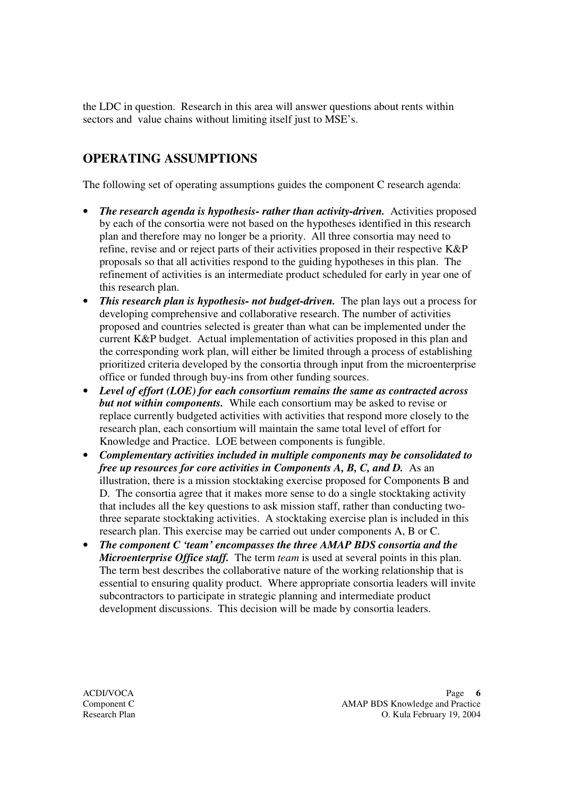the LDC in question. Research in this area will answer questions about rents within sectors and value chains without limiting itself just to MSE's.

# **OPERATING ASSUMPTIONS**

The following set of operating assumptions guides the component C research agenda:

- *The research agenda is hypothesis- rather than activity-driven.* Activities proposed by each of the consortia were not based on the hypotheses identified in this research plan and therefore may no longer be a priority. All three consortia may need to refine, revise and or reject parts of their activities proposed in their respective K&P proposals so that all activities respond to the guiding hypotheses in this plan. The refinement of activities is an intermediate product scheduled for early in year one of this research plan.
- *This research plan is hypothesis- not budget-driven.* The plan lays out a process for developing comprehensive and collaborative research. The number of activities proposed and countries selected is greater than what can be implemented under the current K&P budget. Actual implementation of activities proposed in this plan and the corresponding work plan, will either be limited through a process of establishing prioritized criteria developed by the consortia through input from the microenterprise office or funded through buy-ins from other funding sources.
- *Level of effort (LOE) for each consortium remains the same as contracted across but not within components.* While each consortium may be asked to revise or replace currently budgeted activities with activities that respond more closely to the research plan, each consortium will maintain the same total level of effort for Knowledge and Practice. LOE between components is fungible.
- *Complementary activities included in multiple components may be consolidated to free up resources for core activities in Components A, B, C, and D.* As an illustration, there is a mission stocktaking exercise proposed for Components B and D. The consortia agree that it makes more sense to do a single stocktaking activity that includes all the key questions to ask mission staff, rather than conducting twothree separate stocktaking activities. A stocktaking exercise plan is included in this research plan. This exercise may be carried out under components A, B or C.
- *The component C 'team' encompasses the three AMAP BDS consortia and the Microenterprise Office staff.* The term *team* is used at several points in this plan. The term best describes the collaborative nature of the working relationship that is essential to ensuring quality product. Where appropriate consortia leaders will invite subcontractors to participate in strategic planning and intermediate product development discussions. This decision will be made by consortia leaders.

ACDI/VOCA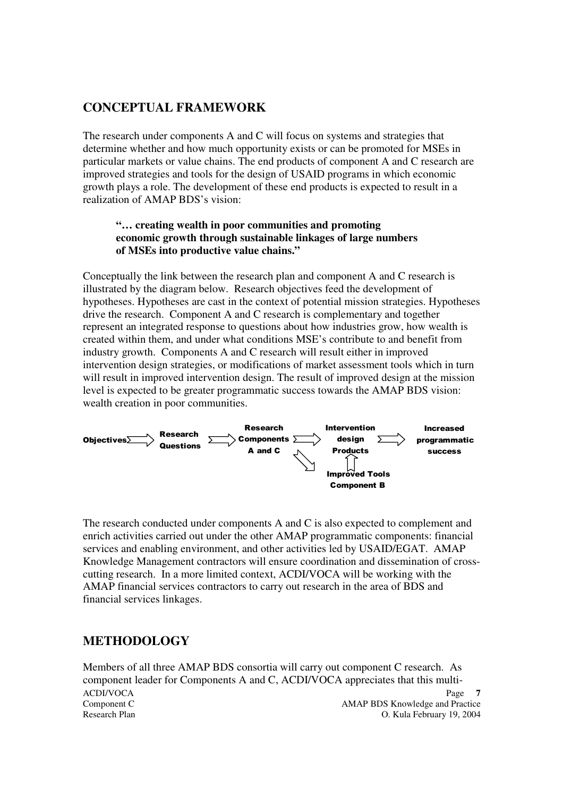# **CONCEPTUAL FRAMEWORK**

The research under components A and C will focus on systems and strategies that determine whether and how much opportunity exists or can be promoted for MSEs in particular markets or value chains. The end products of component A and C research are improved strategies and tools for the design of USAID programs in which economic growth plays a role. The development of these end products is expected to result in a realization of AMAP BDS's vision:

#### **"… creating wealth in poor communities and promoting economic growth through sustainable linkages of large numbers of MSEs into productive value chains."**

Conceptually the link between the research plan and component A and C research is illustrated by the diagram below. Research objectives feed the development of hypotheses. Hypotheses are cast in the context of potential mission strategies. Hypotheses drive the research. Component A and C research is complementary and together represent an integrated response to questions about how industries grow, how wealth is created within them, and under what conditions MSE's contribute to and benefit from industry growth. Components A and C research will result either in improved intervention design strategies, or modifications of market assessment tools which in turn will result in improved intervention design. The result of improved design at the mission level is expected to be greater programmatic success towards the AMAP BDS vision: wealth creation in poor communities.



The research conducted under components A and C is also expected to complement and enrich activities carried out under the other AMAP programmatic components: financial services and enabling environment, and other activities led by USAID/EGAT. AMAP Knowledge Management contractors will ensure coordination and dissemination of crosscutting research. In a more limited context, ACDI/VOCA will be working with the AMAP financial services contractors to carry out research in the area of BDS and financial services linkages.

# **METHODOLOGY**

ACDI/VOCA Component C **Component C** AMAP BDS Knowledge and Practice Research Plan O. Kula February 19, 2004 **7** Members of all three AMAP BDS consortia will carry out component C research. As component leader for Components A and C, ACDI/VOCA appreciates that this multi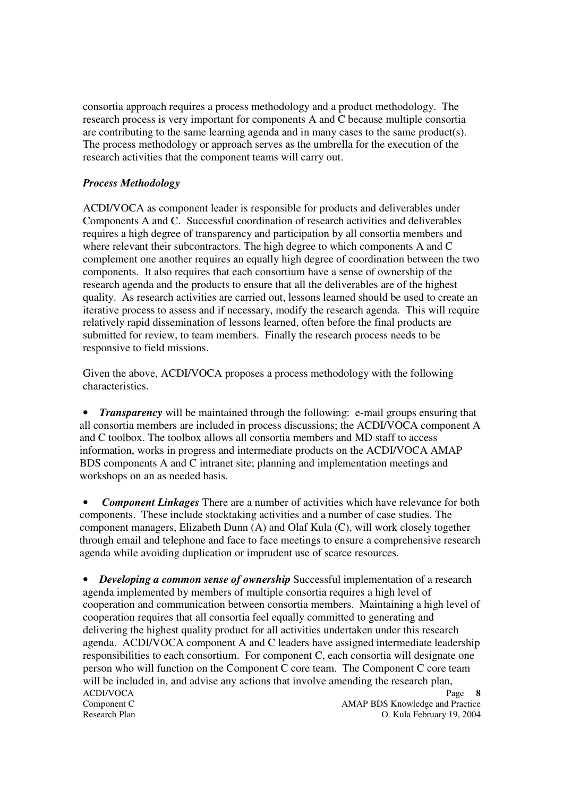consortia approach requires a process methodology and a product methodology. The research process is very important for components A and C because multiple consortia are contributing to the same learning agenda and in many cases to the same product(s). The process methodology or approach serves as the umbrella for the execution of the research activities that the component teams will carry out.

### *Process Methodology*

ACDI/VOCA as component leader is responsible for products and deliverables under Components A and C. Successful coordination of research activities and deliverables requires a high degree of transparency and participation by all consortia members and where relevant their subcontractors. The high degree to which components A and C complement one another requires an equally high degree of coordination between the two components. It also requires that each consortium have a sense of ownership of the research agenda and the products to ensure that all the deliverables are of the highest quality. As research activities are carried out, lessons learned should be used to create an iterative process to assess and if necessary, modify the research agenda. This will require relatively rapid dissemination of lessons learned, often before the final products are submitted for review, to team members. Finally the research process needs to be responsive to field missions.

Given the above, ACDI/VOCA proposes a process methodology with the following characteristics.

• *Transparency* will be maintained through the following: e-mail groups ensuring that all consortia members are included in process discussions; the ACDI/VOCA component A and C toolbox. The toolbox allows all consortia members and MD staff to access information, works in progress and intermediate products on the ACDI/VOCA AMAP BDS components A and C intranet site; planning and implementation meetings and workshops on an as needed basis.

• *Component Linkages* There are a number of activities which have relevance for both components. These include stocktaking activities and a number of case studies. The component managers, Elizabeth Dunn (A) and Olaf Kula (C), will work closely together through email and telephone and face to face meetings to ensure a comprehensive research agenda while avoiding duplication or imprudent use of scarce resources.

ACDI/VOCA Component C **Component C** AMAP BDS Knowledge and Practice Research Plan O. Kula February 19, 2004 **8** • *Developing a common sense of ownership* Successful implementation of a research agenda implemented by members of multiple consortia requires a high level of cooperation and communication between consortia members. Maintaining a high level of cooperation requires that all consortia feel equally committed to generating and delivering the highest quality product for all activities undertaken under this research agenda. ACDI/VOCA component A and C leaders have assigned intermediate leadership responsibilities to each consortium. For component C, each consortia will designate one person who will function on the Component C core team. The Component C core team will be included in, and advise any actions that involve amending the research plan,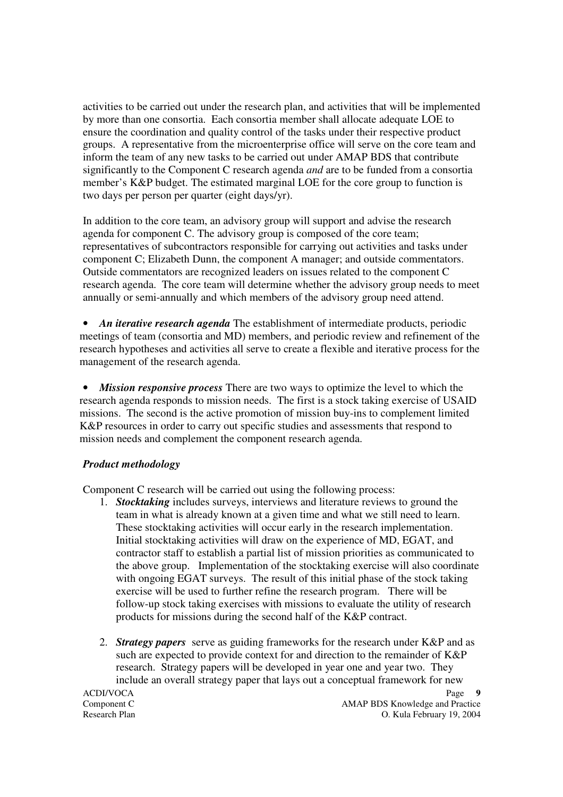activities to be carried out under the research plan, and activities that will be implemented by more than one consortia. Each consortia member shall allocate adequate LOE to ensure the coordination and quality control of the tasks under their respective product groups. A representative from the microenterprise office will serve on the core team and inform the team of any new tasks to be carried out under AMAP BDS that contribute significantly to the Component C research agenda *and* are to be funded from a consortia member's K&P budget. The estimated marginal LOE for the core group to function is two days per person per quarter (eight days/yr).

In addition to the core team, an advisory group will support and advise the research agenda for component C. The advisory group is composed of the core team; representatives of subcontractors responsible for carrying out activities and tasks under component C; Elizabeth Dunn, the component A manager; and outside commentators. Outside commentators are recognized leaders on issues related to the component C research agenda. The core team will determine whether the advisory group needs to meet annually or semi-annually and which members of the advisory group need attend.

• *An iterative research agenda* The establishment of intermediate products, periodic meetings of team (consortia and MD) members, and periodic review and refinement of the research hypotheses and activities all serve to create a flexible and iterative process for the management of the research agenda.

• *Mission responsive process* There are two ways to optimize the level to which the research agenda responds to mission needs. The first is a stock taking exercise of USAID missions. The second is the active promotion of mission buy-ins to complement limited K&P resources in order to carry out specific studies and assessments that respond to mission needs and complement the component research agenda.

#### *Product methodology*

Component C research will be carried out using the following process:

- 1. *Stocktaking* includes surveys, interviews and literature reviews to ground the team in what is already known at a given time and what we still need to learn. These stocktaking activities will occur early in the research implementation. Initial stocktaking activities will draw on the experience of MD, EGAT, and contractor staff to establish a partial list of mission priorities as communicated to the above group. Implementation of the stocktaking exercise will also coordinate with ongoing EGAT surveys. The result of this initial phase of the stock taking exercise will be used to further refine the research program. There will be follow-up stock taking exercises with missions to evaluate the utility of research products for missions during the second half of the K&P contract.
- 2. *Strategy papers* serve as guiding frameworks for the research under K&P and as such are expected to provide context for and direction to the remainder of K&P research. Strategy papers will be developed in year one and year two. They include an overall strategy paper that lays out a conceptual framework for new

ACDI/VOCA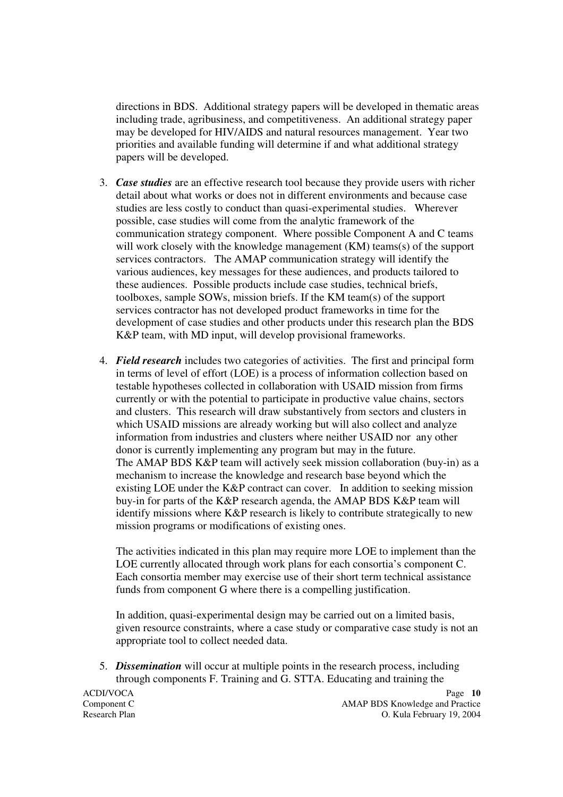directions in BDS. Additional strategy papers will be developed in thematic areas including trade, agribusiness, and competitiveness. An additional strategy paper may be developed for HIV/AIDS and natural resources management. Year two priorities and available funding will determine if and what additional strategy papers will be developed.

- 3. *Case studies* are an effective research tool because they provide users with richer detail about what works or does not in different environments and because case studies are less costly to conduct than quasi-experimental studies. Wherever possible, case studies will come from the analytic framework of the communication strategy component. Where possible Component A and C teams will work closely with the knowledge management (KM) teams(s) of the support services contractors. The AMAP communication strategy will identify the various audiences, key messages for these audiences, and products tailored to these audiences. Possible products include case studies, technical briefs, toolboxes, sample SOWs, mission briefs. If the KM team(s) of the support services contractor has not developed product frameworks in time for the development of case studies and other products under this research plan the BDS K&P team, with MD input, will develop provisional frameworks.
- 4. *Field research* includes two categories of activities. The first and principal form in terms of level of effort (LOE) is a process of information collection based on testable hypotheses collected in collaboration with USAID mission from firms currently or with the potential to participate in productive value chains, sectors and clusters. This research will draw substantively from sectors and clusters in which USAID missions are already working but will also collect and analyze information from industries and clusters where neither USAID nor any other donor is currently implementing any program but may in the future. The AMAP BDS K&P team will actively seek mission collaboration (buy-in) as a mechanism to increase the knowledge and research base beyond which the existing LOE under the K&P contract can cover. In addition to seeking mission buy-in for parts of the K&P research agenda, the AMAP BDS K&P team will identify missions where K&P research is likely to contribute strategically to new mission programs or modifications of existing ones.

The activities indicated in this plan may require more LOE to implement than the LOE currently allocated through work plans for each consortia's component C. Each consortia member may exercise use of their short term technical assistance funds from component G where there is a compelling justification.

In addition, quasi-experimental design may be carried out on a limited basis, given resource constraints, where a case study or comparative case study is not an appropriate tool to collect needed data.

5. *Dissemination* will occur at multiple points in the research process, including through components F. Training and G. STTA. Educating and training the

ACDI/VOCA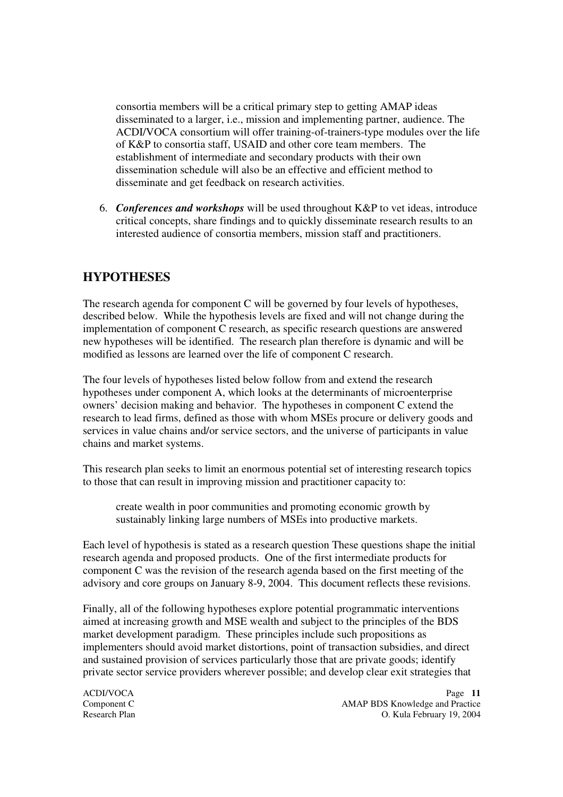consortia members will be a critical primary step to getting AMAP ideas disseminated to a larger, i.e., mission and implementing partner, audience. The ACDI/VOCA consortium will offer training-of-trainers-type modules over the life of K&P to consortia staff, USAID and other core team members. The establishment of intermediate and secondary products with their own dissemination schedule will also be an effective and efficient method to disseminate and get feedback on research activities.

6. *Conferences and workshops* will be used throughout K&P to vet ideas, introduce critical concepts, share findings and to quickly disseminate research results to an interested audience of consortia members, mission staff and practitioners.

# **HYPOTHESES**

The research agenda for component C will be governed by four levels of hypotheses, described below. While the hypothesis levels are fixed and will not change during the implementation of component C research, as specific research questions are answered new hypotheses will be identified. The research plan therefore is dynamic and will be modified as lessons are learned over the life of component C research.

The four levels of hypotheses listed below follow from and extend the research hypotheses under component A, which looks at the determinants of microenterprise owners' decision making and behavior. The hypotheses in component C extend the research to lead firms, defined as those with whom MSEs procure or delivery goods and services in value chains and/or service sectors, and the universe of participants in value chains and market systems.

This research plan seeks to limit an enormous potential set of interesting research topics to those that can result in improving mission and practitioner capacity to:

create wealth in poor communities and promoting economic growth by sustainably linking large numbers of MSEs into productive markets.

Each level of hypothesis is stated as a research question These questions shape the initial research agenda and proposed products. One of the first intermediate products for component C was the revision of the research agenda based on the first meeting of the advisory and core groups on January 8-9, 2004. This document reflects these revisions.

Finally, all of the following hypotheses explore potential programmatic interventions aimed at increasing growth and MSE wealth and subject to the principles of the BDS market development paradigm. These principles include such propositions as implementers should avoid market distortions, point of transaction subsidies, and direct and sustained provision of services particularly those that are private goods; identify private sector service providers wherever possible; and develop clear exit strategies that

ACDI/VOCA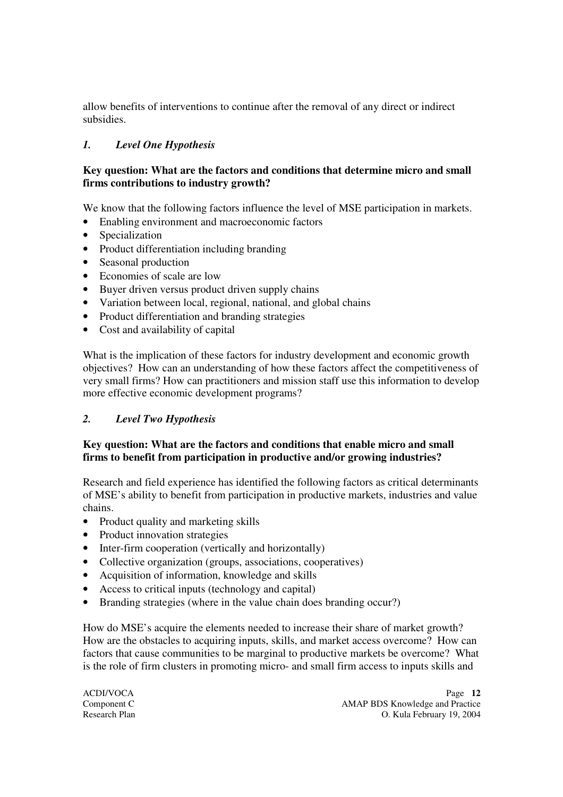allow benefits of interventions to continue after the removal of any direct or indirect subsidies.

## *1. Level One Hypothesis*

### **Key question: What are the factors and conditions that determine micro and small firms contributions to industry growth?**

We know that the following factors influence the level of MSE participation in markets.

- Enabling environment and macroeconomic factors
- Specialization
- Product differentiation including branding
- Seasonal production
- Economies of scale are low
- Buyer driven versus product driven supply chains
- Variation between local, regional, national, and global chains
- Product differentiation and branding strategies
- Cost and availability of capital

What is the implication of these factors for industry development and economic growth objectives? How can an understanding of how these factors affect the competitiveness of very small firms? How can practitioners and mission staff use this information to develop more effective economic development programs?

## *2. Level Two Hypothesis*

### **Key question: What are the factors and conditions that enable micro and small firms to benefit from participation in productive and/or growing industries?**

Research and field experience has identified the following factors as critical determinants of MSE's ability to benefit from participation in productive markets, industries and value chains.

- Product quality and marketing skills
- Product innovation strategies
- Inter-firm cooperation (vertically and horizontally)
- Collective organization (groups, associations, cooperatives)
- Acquisition of information, knowledge and skills
- Access to critical inputs (technology and capital)
- Branding strategies (where in the value chain does branding occur?)

How do MSE's acquire the elements needed to increase their share of market growth? How are the obstacles to acquiring inputs, skills, and market access overcome? How can factors that cause communities to be marginal to productive markets be overcome? What is the role of firm clusters in promoting micro- and small firm access to inputs skills and

ACDI/VOCA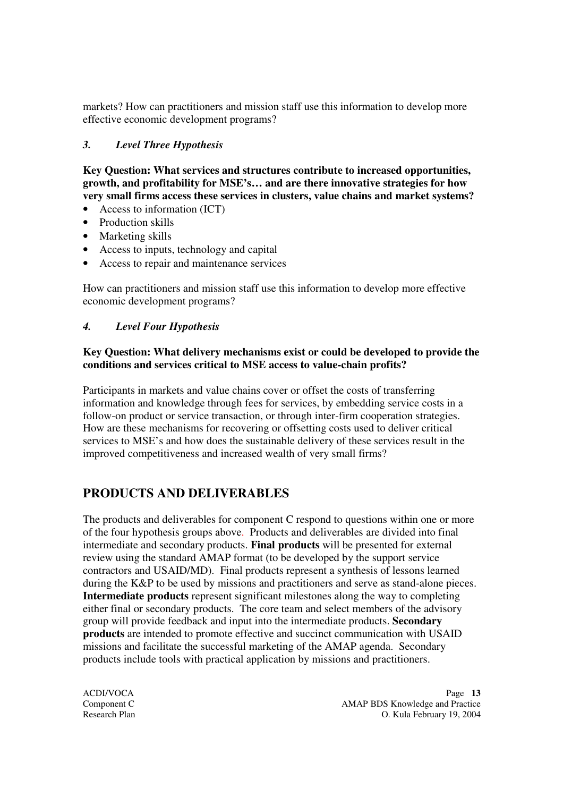markets? How can practitioners and mission staff use this information to develop more effective economic development programs?

## *3. Level Three Hypothesis*

**Key Question: What services and structures contribute to increased opportunities, growth, and profitability for MSE's… and are there innovative strategies for how very small firms access these services in clusters, value chains and market systems?**

- Access to information (ICT)
- Production skills
- Marketing skills
- Access to inputs, technology and capital
- Access to repair and maintenance services

How can practitioners and mission staff use this information to develop more effective economic development programs?

### *4. Level Four Hypothesis*

#### **Key Question: What delivery mechanisms exist or could be developed to provide the conditions and services critical to MSE access to value-chain profits?**

Participants in markets and value chains cover or offset the costs of transferring information and knowledge through fees for services, by embedding service costs in a follow-on product or service transaction, or through inter-firm cooperation strategies. How are these mechanisms for recovering or offsetting costs used to deliver critical services to MSE's and how does the sustainable delivery of these services result in the improved competitiveness and increased wealth of very small firms?

# **PRODUCTS AND DELIVERABLES**

The products and deliverables for component C respond to questions within one or more of the four hypothesis groups above. Products and deliverables are divided into final intermediate and secondary products. **Final products** will be presented for external review using the standard AMAP format (to be developed by the support service contractors and USAID/MD). Final products represent a synthesis of lessons learned during the K&P to be used by missions and practitioners and serve as stand-alone pieces. **Intermediate products** represent significant milestones along the way to completing either final or secondary products. The core team and select members of the advisory group will provide feedback and input into the intermediate products. **Secondary products** are intended to promote effective and succinct communication with USAID missions and facilitate the successful marketing of the AMAP agenda. Secondary products include tools with practical application by missions and practitioners.

ACDI/VOCA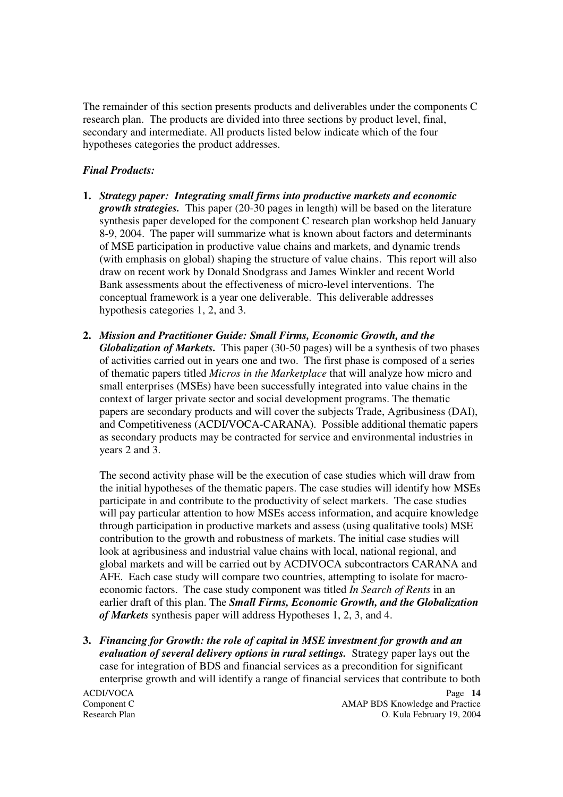The remainder of this section presents products and deliverables under the components C research plan. The products are divided into three sections by product level, final, secondary and intermediate. All products listed below indicate which of the four hypotheses categories the product addresses.

#### *Final Products:*

- **1.** *Strategy paper: Integrating small firms into productive markets and economic growth strategies.* This paper (20-30 pages in length) will be based on the literature synthesis paper developed for the component C research plan workshop held January 8-9, 2004. The paper will summarize what is known about factors and determinants of MSE participation in productive value chains and markets, and dynamic trends (with emphasis on global) shaping the structure of value chains. This report will also draw on recent work by Donald Snodgrass and James Winkler and recent World Bank assessments about the effectiveness of micro-level interventions. The conceptual framework is a year one deliverable. This deliverable addresses hypothesis categories 1, 2, and 3.
- **2.** *Mission and Practitioner Guide: Small Firms, Economic Growth, and the Globalization of Markets.* This paper (30-50 pages) will be a synthesis of two phases of activities carried out in years one and two. The first phase is composed of a series of thematic papers titled *Micros in the Marketplace* that will analyze how micro and small enterprises (MSEs) have been successfully integrated into value chains in the context of larger private sector and social development programs. The thematic papers are secondary products and will cover the subjects Trade, Agribusiness (DAI), and Competitiveness (ACDI/VOCA-CARANA). Possible additional thematic papers as secondary products may be contracted for service and environmental industries in years 2 and 3.

The second activity phase will be the execution of case studies which will draw from the initial hypotheses of the thematic papers. The case studies will identify how MSEs participate in and contribute to the productivity of select markets. The case studies will pay particular attention to how MSEs access information, and acquire knowledge through participation in productive markets and assess (using qualitative tools) MSE contribution to the growth and robustness of markets. The initial case studies will look at agribusiness and industrial value chains with local, national regional, and global markets and will be carried out by ACDIVOCA subcontractors CARANA and AFE. Each case study will compare two countries, attempting to isolate for macroeconomic factors. The case study component was titled *In Search of Rents* in an earlier draft of this plan. The *Small Firms, Economic Growth, and the Globalization of Markets* synthesis paper will address Hypotheses 1, 2, 3, and 4.

**3.** *Financing for Growth: the role of capital in MSE investment for growth and an evaluation of several delivery options in rural settings.* Strategy paper lays out the case for integration of BDS and financial services as a precondition for significant enterprise growth and will identify a range of financial services that contribute to both

ACDI/VOCA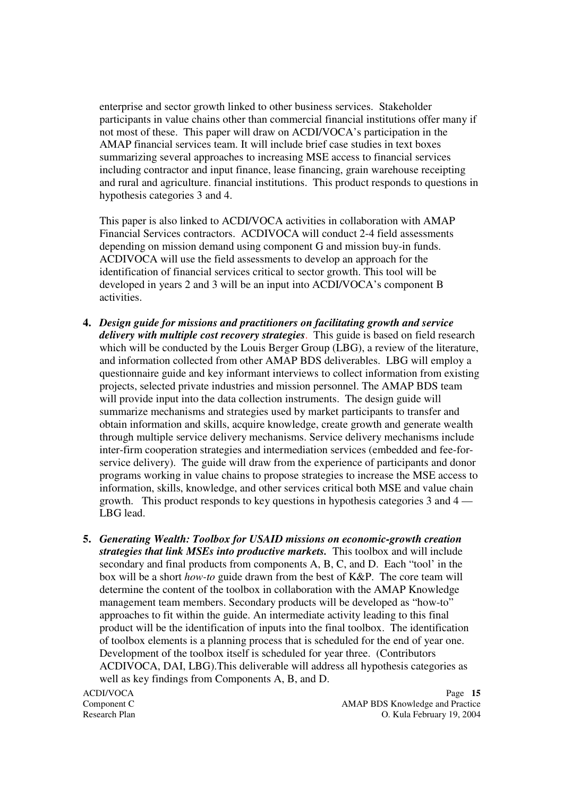enterprise and sector growth linked to other business services. Stakeholder participants in value chains other than commercial financial institutions offer many if not most of these. This paper will draw on ACDI/VOCA's participation in the AMAP financial services team. It will include brief case studies in text boxes summarizing several approaches to increasing MSE access to financial services including contractor and input finance, lease financing, grain warehouse receipting and rural and agriculture. financial institutions. This product responds to questions in hypothesis categories 3 and 4.

This paper is also linked to ACDI/VOCA activities in collaboration with AMAP Financial Services contractors. ACDIVOCA will conduct 2-4 field assessments depending on mission demand using component G and mission buy-in funds. ACDIVOCA will use the field assessments to develop an approach for the identification of financial services critical to sector growth. This tool will be developed in years 2 and 3 will be an input into ACDI/VOCA's component B activities.

- **4.** *Design guide for missions and practitioners on facilitating growth and service delivery with multiple cost recovery strategies*. This guide is based on field research which will be conducted by the Louis Berger Group (LBG), a review of the literature, and information collected from other AMAP BDS deliverables. LBG will employ a questionnaire guide and key informant interviews to collect information from existing projects, selected private industries and mission personnel. The AMAP BDS team will provide input into the data collection instruments. The design guide will summarize mechanisms and strategies used by market participants to transfer and obtain information and skills, acquire knowledge, create growth and generate wealth through multiple service delivery mechanisms. Service delivery mechanisms include inter-firm cooperation strategies and intermediation services (embedded and fee-forservice delivery). The guide will draw from the experience of participants and donor programs working in value chains to propose strategies to increase the MSE access to information, skills, knowledge, and other services critical both MSE and value chain growth. This product responds to key questions in hypothesis categories 3 and 4 — LBG lead.
- **5.** *Generating Wealth: Toolbox for USAID missions on economic-growth creation strategies that link MSEs into productive markets.* This toolbox and will include secondary and final products from components A, B, C, and D. Each "tool' in the box will be a short *how-to* guide drawn from the best of K&P. The core team will determine the content of the toolbox in collaboration with the AMAP Knowledge management team members. Secondary products will be developed as "how-to" approaches to fit within the guide. An intermediate activity leading to this final product will be the identification of inputs into the final toolbox. The identification of toolbox elements is a planning process that is scheduled for the end of year one. Development of the toolbox itself is scheduled for year three. (Contributors ACDIVOCA, DAI, LBG).This deliverable will address all hypothesis categories as well as key findings from Components A, B, and D.

ACDI/VOCA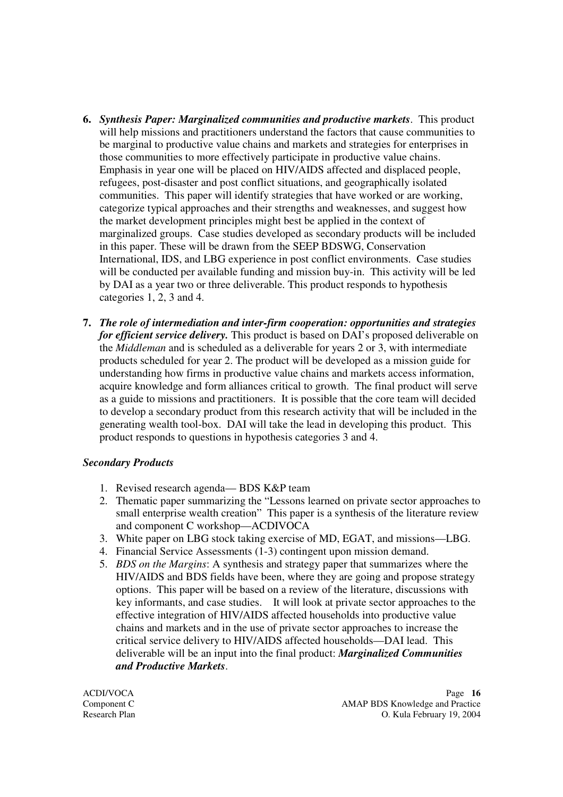- **6.** *Synthesis Paper: Marginalized communities and productive markets*. This product will help missions and practitioners understand the factors that cause communities to be marginal to productive value chains and markets and strategies for enterprises in those communities to more effectively participate in productive value chains. Emphasis in year one will be placed on HIV/AIDS affected and displaced people, refugees, post-disaster and post conflict situations, and geographically isolated communities. This paper will identify strategies that have worked or are working, categorize typical approaches and their strengths and weaknesses, and suggest how the market development principles might best be applied in the context of marginalized groups. Case studies developed as secondary products will be included in this paper. These will be drawn from the SEEP BDSWG, Conservation International, IDS, and LBG experience in post conflict environments. Case studies will be conducted per available funding and mission buy-in. This activity will be led by DAI as a year two or three deliverable. This product responds to hypothesis categories 1, 2, 3 and 4.
- **7.** *The role of intermediation and inter-firm cooperation: opportunities and strategies for efficient service delivery.* This product is based on DAI's proposed deliverable on the *Middleman* and is scheduled as a deliverable for years 2 or 3, with intermediate products scheduled for year 2. The product will be developed as a mission guide for understanding how firms in productive value chains and markets access information, acquire knowledge and form alliances critical to growth. The final product will serve as a guide to missions and practitioners. It is possible that the core team will decided to develop a secondary product from this research activity that will be included in the generating wealth tool-box. DAI will take the lead in developing this product. This product responds to questions in hypothesis categories 3 and 4.

#### *Secondary Products*

- 1. Revised research agenda— BDS K&P team
- 2. Thematic paper summarizing the "Lessons learned on private sector approaches to small enterprise wealth creation" This paper is a synthesis of the literature review and component C workshop—ACDIVOCA
- 3. White paper on LBG stock taking exercise of MD, EGAT, and missions—LBG.
- 4. Financial Service Assessments (1-3) contingent upon mission demand.
- 5. *BDS on the Margins*: A synthesis and strategy paper that summarizes where the HIV/AIDS and BDS fields have been, where they are going and propose strategy options. This paper will be based on a review of the literature, discussions with key informants, and case studies. It will look at private sector approaches to the effective integration of HIV/AIDS affected households into productive value chains and markets and in the use of private sector approaches to increase the critical service delivery to HIV/AIDS affected households—DAI lead. This deliverable will be an input into the final product: *Marginalized Communities and Productive Markets*.

ACDI/VOCA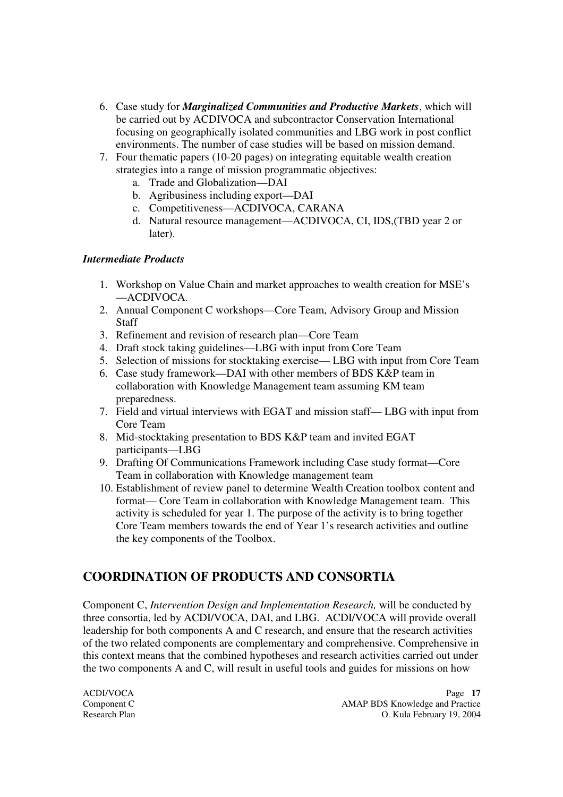- 6. Case study for *Marginalized Communities and Productive Markets*, which will be carried out by ACDIVOCA and subcontractor Conservation International focusing on geographically isolated communities and LBG work in post conflict environments. The number of case studies will be based on mission demand.
- 7. Four thematic papers (10-20 pages) on integrating equitable wealth creation strategies into a range of mission programmatic objectives:
	- a. Trade and Globalization—DAI
	- b. Agribusiness including export—DAI
	- c. Competitiveness—ACDIVOCA, CARANA
	- d. Natural resource management—ACDIVOCA, CI, IDS,(TBD year 2 or later).

### *Intermediate Products*

- 1. Workshop on Value Chain and market approaches to wealth creation for MSE's —ACDIVOCA.
- 2. Annual Component C workshops—Core Team, Advisory Group and Mission Staff
- 3. Refinement and revision of research plan—Core Team
- 4. Draft stock taking guidelines—LBG with input from Core Team
- 5. Selection of missions for stocktaking exercise— LBG with input from Core Team
- 6. Case study framework—DAI with other members of BDS K&P team in collaboration with Knowledge Management team assuming KM team preparedness.
- 7. Field and virtual interviews with EGAT and mission staff— LBG with input from Core Team
- 8. Mid-stocktaking presentation to BDS K&P team and invited EGAT participants—LBG
- 9. Drafting Of Communications Framework including Case study format—Core Team in collaboration with Knowledge management team
- 10. Establishment of review panel to determine Wealth Creation toolbox content and format— Core Team in collaboration with Knowledge Management team. This activity is scheduled for year 1. The purpose of the activity is to bring together Core Team members towards the end of Year 1's research activities and outline the key components of the Toolbox.

# **COORDINATION OF PRODUCTS AND CONSORTIA**

Component C, *Intervention Design and Implementation Research,* will be conducted by three consortia, led by ACDI/VOCA, DAI, and LBG. ACDI/VOCA will provide overall leadership for both components A and C research, and ensure that the research activities of the two related components are complementary and comprehensive. Comprehensive in this context means that the combined hypotheses and research activities carried out under the two components A and C, will result in useful tools and guides for missions on how

ACDI/VOCA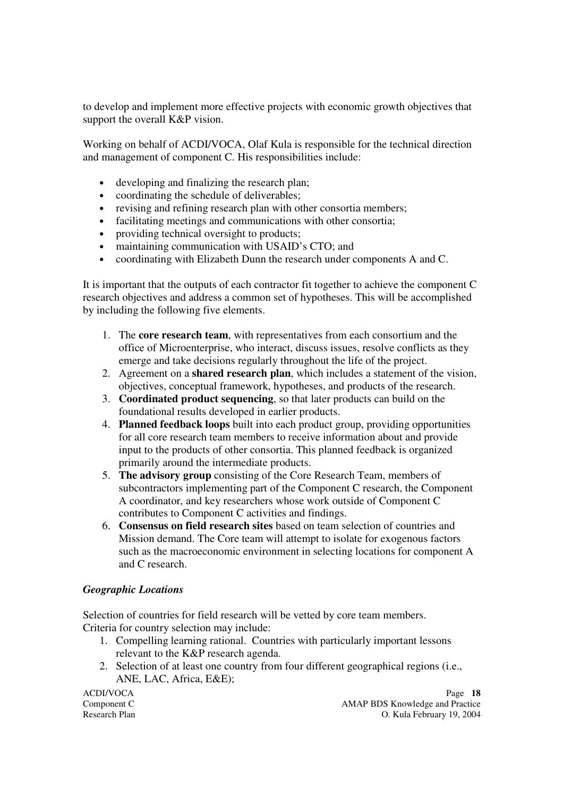to develop and implement more effective projects with economic growth objectives that support the overall K&P vision.

Working on behalf of ACDI/VOCA, Olaf Kula is responsible for the technical direction and management of component C. His responsibilities include:

- developing and finalizing the research plan;
- coordinating the schedule of deliverables;
- revising and refining research plan with other consortia members;
- facilitating meetings and communications with other consortia;
- providing technical oversight to products;
- maintaining communication with USAID's CTO; and
- coordinating with Elizabeth Dunn the research under components A and C.

It is important that the outputs of each contractor fit together to achieve the component C research objectives and address a common set of hypotheses. This will be accomplished by including the following five elements.

- 1. The **core research team**, with representatives from each consortium and the office of Microenterprise, who interact, discuss issues, resolve conflicts as they emerge and take decisions regularly throughout the life of the project.
- 2. Agreement on a **shared research plan**, which includes a statement of the vision, objectives, conceptual framework, hypotheses, and products of the research.
- 3. **Coordinated product sequencing**, so that later products can build on the foundational results developed in earlier products.
- 4. **Planned feedback loops** built into each product group, providing opportunities for all core research team members to receive information about and provide input to the products of other consortia. This planned feedback is organized primarily around the intermediate products.
- 5. **The advisory group** consisting of the Core Research Team, members of subcontractors implementing part of the Component C research, the Component A coordinator, and key researchers whose work outside of Component C contributes to Component C activities and findings.
- 6. **Consensus on field research sites** based on team selection of countries and Mission demand. The Core team will attempt to isolate for exogenous factors such as the macroeconomic environment in selecting locations for component A and C research.

#### *Geographic Locations*

Selection of countries for field research will be vetted by core team members. Criteria for country selection may include:

- 1. Compelling learning rational. Countries with particularly important lessons relevant to the K&P research agenda.
- 2. Selection of at least one country from four different geographical regions (i.e., ANE, LAC, Africa, E&E);

ACDI/VOCA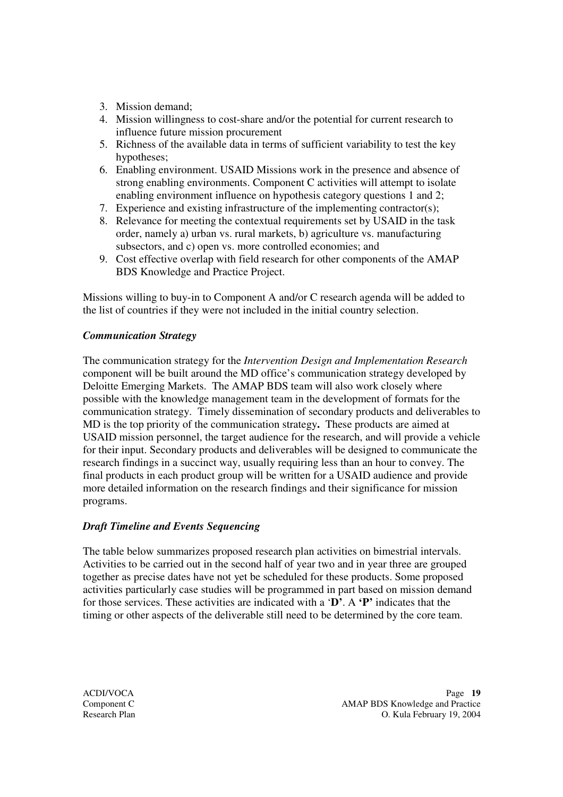- 3. Mission demand;
- 4. Mission willingness to cost-share and/or the potential for current research to influence future mission procurement
- 5. Richness of the available data in terms of sufficient variability to test the key hypotheses;
- 6. Enabling environment. USAID Missions work in the presence and absence of strong enabling environments. Component C activities will attempt to isolate enabling environment influence on hypothesis category questions 1 and 2;
- 7. Experience and existing infrastructure of the implementing contractor(s);
- 8. Relevance for meeting the contextual requirements set by USAID in the task order, namely a) urban vs. rural markets, b) agriculture vs. manufacturing subsectors, and c) open vs. more controlled economies; and
- 9. Cost effective overlap with field research for other components of the AMAP BDS Knowledge and Practice Project.

Missions willing to buy-in to Component A and/or C research agenda will be added to the list of countries if they were not included in the initial country selection.

### *Communication Strategy*

The communication strategy for the *Intervention Design and Implementation Research* component will be built around the MD office's communication strategy developed by Deloitte Emerging Markets. The AMAP BDS team will also work closely where possible with the knowledge management team in the development of formats for the communication strategy. Timely dissemination of secondary products and deliverables to MD is the top priority of the communication strategy**.** These products are aimed at USAID mission personnel, the target audience for the research, and will provide a vehicle for their input. Secondary products and deliverables will be designed to communicate the research findings in a succinct way, usually requiring less than an hour to convey. The final products in each product group will be written for a USAID audience and provide more detailed information on the research findings and their significance for mission programs.

## *Draft Timeline and Events Sequencing*

The table below summarizes proposed research plan activities on bimestrial intervals. Activities to be carried out in the second half of year two and in year three are grouped together as precise dates have not yet be scheduled for these products. Some proposed activities particularly case studies will be programmed in part based on mission demand for those services. These activities are indicated with a '**D'**. A **'P'** indicates that the timing or other aspects of the deliverable still need to be determined by the core team.

ACDI/VOCA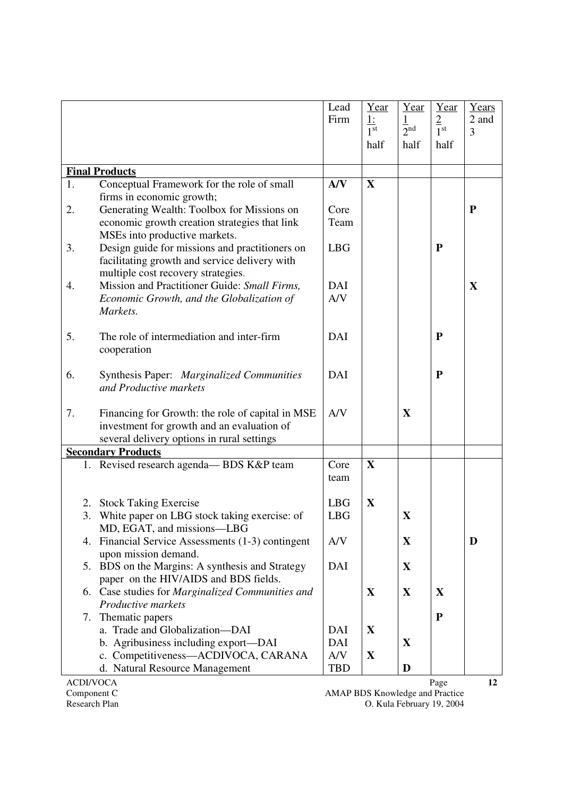|                           |                                                                                    | Lead       | Year                         | Year                        | Year                      | Years     |
|---------------------------|------------------------------------------------------------------------------------|------------|------------------------------|-----------------------------|---------------------------|-----------|
|                           |                                                                                    | Firm       | <u>1:</u><br>1 <sup>st</sup> | $\frac{1}{2}$ <sup>nd</sup> | $rac{2}{1}$ <sup>st</sup> | 2 and     |
|                           |                                                                                    |            | half                         | half                        | half                      | 3         |
|                           |                                                                                    |            |                              |                             |                           |           |
|                           | <b>Final Products</b>                                                              |            |                              |                             |                           |           |
| 1.                        | Conceptual Framework for the role of small                                         | A/V        | X                            |                             |                           |           |
|                           | firms in economic growth;                                                          |            |                              |                             |                           |           |
| 2.                        | Generating Wealth: Toolbox for Missions on                                         | Core       |                              |                             |                           | ${\bf P}$ |
|                           | economic growth creation strategies that link                                      | Team       |                              |                             |                           |           |
|                           | MSEs into productive markets.                                                      |            |                              |                             |                           |           |
| 3.                        | Design guide for missions and practitioners on                                     | <b>LBG</b> |                              |                             | ${\bf P}$                 |           |
|                           | facilitating growth and service delivery with                                      |            |                              |                             |                           |           |
|                           | multiple cost recovery strategies.<br>Mission and Practitioner Guide: Small Firms, | DAI        |                              |                             |                           |           |
| 4.                        | Economic Growth, and the Globalization of                                          | A/V        |                              |                             |                           | X         |
|                           | Markets.                                                                           |            |                              |                             |                           |           |
|                           |                                                                                    |            |                              |                             |                           |           |
| 5.                        | The role of intermediation and inter-firm                                          | <b>DAI</b> |                              |                             | ${\bf P}$                 |           |
|                           | cooperation                                                                        |            |                              |                             |                           |           |
|                           |                                                                                    |            |                              |                             |                           |           |
| 6.                        | Synthesis Paper: Marginalized Communities                                          | <b>DAI</b> |                              |                             | ${\bf P}$                 |           |
|                           | and Productive markets                                                             |            |                              |                             |                           |           |
|                           |                                                                                    |            |                              |                             |                           |           |
| 7.                        | Financing for Growth: the role of capital in MSE                                   | A/V        |                              | X                           |                           |           |
|                           | investment for growth and an evaluation of                                         |            |                              |                             |                           |           |
|                           | several delivery options in rural settings                                         |            |                              |                             |                           |           |
| <b>Secondary Products</b> |                                                                                    |            |                              |                             |                           |           |
|                           | 1. Revised research agenda-BDS K&P team                                            | Core       | $\mathbf X$                  |                             |                           |           |
|                           |                                                                                    | team       |                              |                             |                           |           |
| 2.                        | <b>Stock Taking Exercise</b>                                                       | <b>LBG</b> | X                            |                             |                           |           |
| 3.                        | White paper on LBG stock taking exercise: of                                       | <b>LBG</b> |                              | X                           |                           |           |
|                           | MD, EGAT, and missions—LBG                                                         |            |                              |                             |                           |           |
| 4.                        | Financial Service Assessments (1-3) contingent                                     | A/V        |                              | $\mathbf X$                 |                           | D         |
|                           | upon mission demand.                                                               |            |                              |                             |                           |           |
|                           | 5. BDS on the Margins: A synthesis and Strategy                                    | DAI        |                              | X                           |                           |           |
|                           | paper on the HIV/AIDS and BDS fields.                                              |            |                              |                             |                           |           |
|                           | 6. Case studies for Marginalized Communities and                                   |            | $\mathbf X$                  | X                           | X                         |           |
|                           | Productive markets                                                                 |            |                              |                             |                           |           |
| 7.                        | Thematic papers                                                                    |            |                              |                             | ${\bf P}$                 |           |
|                           | a. Trade and Globalization-DAI                                                     | DAI        | X                            |                             |                           |           |
|                           | b. Agribusiness including export—DAI                                               | DAI        |                              | X                           |                           |           |
|                           | c. Competitiveness-ACDIVOCA, CARANA                                                | A/V        | X                            |                             |                           |           |
|                           | d. Natural Resource Management                                                     | <b>TBD</b> |                              | D                           |                           |           |
| <b>ACDI/VOCA</b>          |                                                                                    |            |                              |                             | Page                      | 12        |